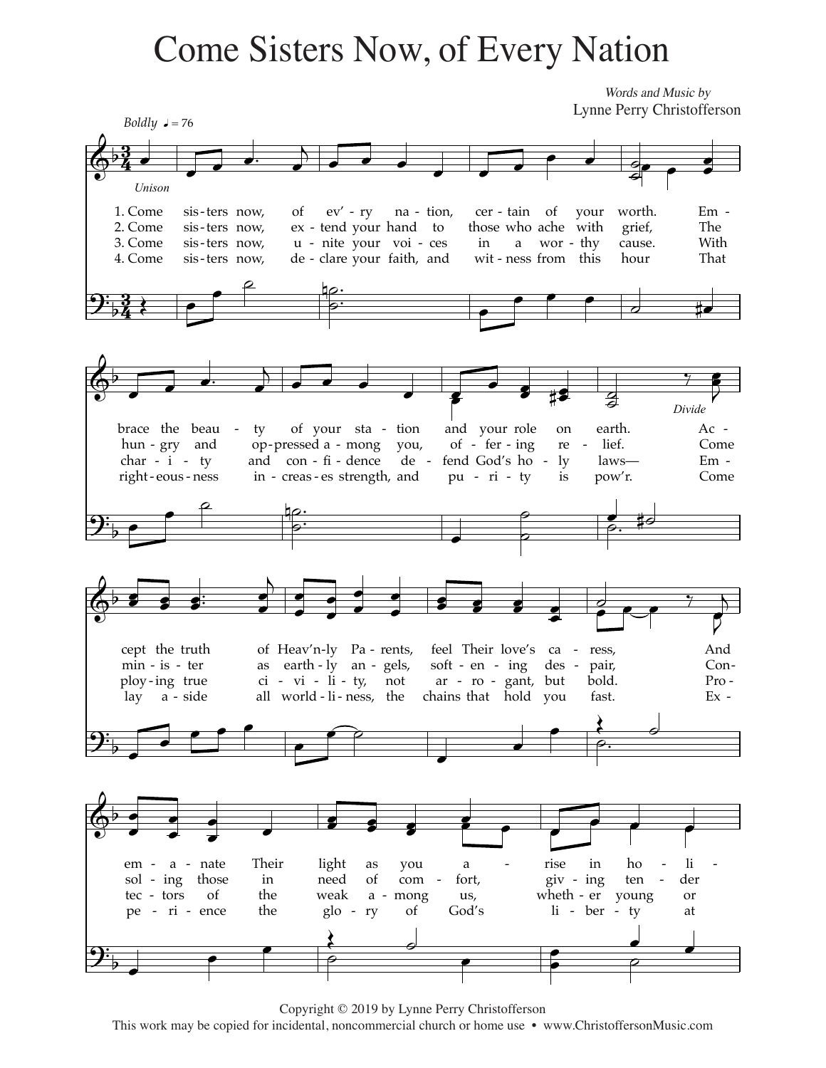## **Come Sisters Now, of Every Nation**

Words and Music by Lynne Perry Christofferson



Copyright © 2019 by Lynne Perry Christofferson

This work may be copied for incidental, noncommercial church or home use • www.ChristoffersonMusic.com